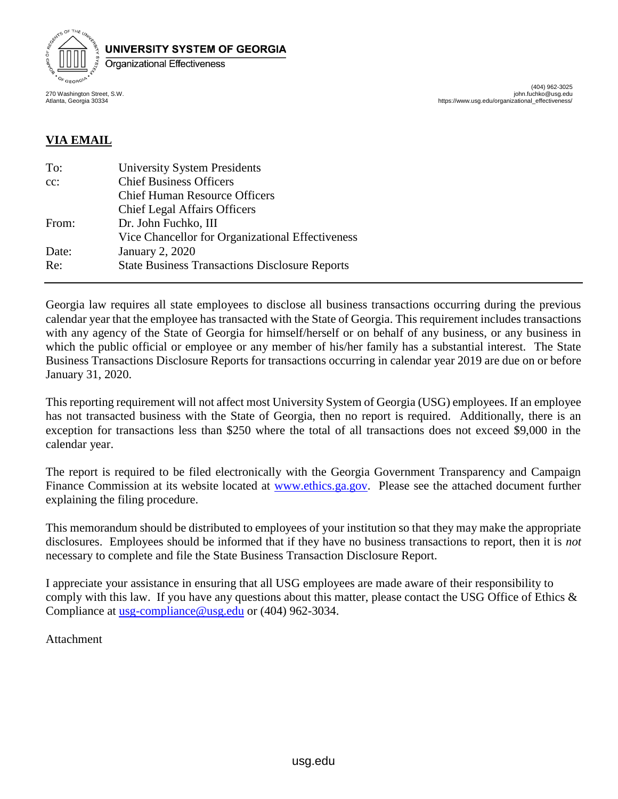

404) 962-3025)<br>john.fuchko@usg.edu https://www.usg.edu/organizational\_effective

# **VIA EMAIL**

| To:    | <b>University System Presidents</b>                   |
|--------|-------------------------------------------------------|
| $cc$ : | <b>Chief Business Officers</b>                        |
|        | <b>Chief Human Resource Officers</b>                  |
|        | <b>Chief Legal Affairs Officers</b>                   |
| From:  | Dr. John Fuchko, III                                  |
|        | Vice Chancellor for Organizational Effectiveness      |
| Date:  | <b>January 2, 2020</b>                                |
| Re:    | <b>State Business Transactions Disclosure Reports</b> |
|        |                                                       |

Georgia law requires all state employees to disclose all business transactions occurring during the previous calendar year that the employee has transacted with the State of Georgia. This requirement includes transactions with any agency of the State of Georgia for himself/herself or on behalf of any business, or any business in which the public official or employee or any member of his/her family has a substantial interest. The State Business Transactions Disclosure Reports for transactions occurring in calendar year 2019 are due on or before January 31, 2020.

This reporting requirement will not affect most University System of Georgia (USG) employees. If an employee has not transacted business with the State of Georgia, then no report is required. Additionally, there is an exception for transactions less than \$250 where the total of all transactions does not exceed \$9,000 in the calendar year.

The report is required to be filed electronically with the Georgia Government Transparency and Campaign Finance Commission at its website located at [www.ethics.ga.gov.](http://www.ethics.ga.gov/) Please see the attached document further explaining the filing procedure.

This memorandum should be distributed to employees of your institution so that they may make the appropriate disclosures. Employees should be informed that if they have no business transactions to report, then it is *not*  necessary to complete and file the State Business Transaction Disclosure Report.

I appreciate your assistance in ensuring that all USG employees are made aware of their responsibility to comply with this law. If you have any questions about this matter, please contact the USG Office of Ethics & Compliance at [usg-compliance@usg.edu](mailto:usg-compliance@usg.edu) or (404) 962-3034.

Attachment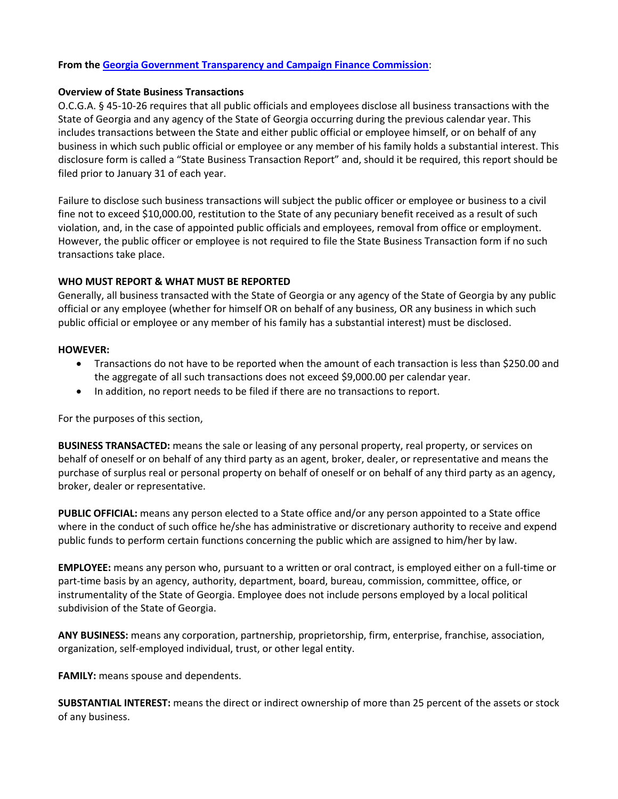## **From th[e Georgia Government Transparency and Campaign Finance Commission](http://ethics.ga.gov/)**:

## **Overview of State Business Transactions**

O.C.G.A. § 45-10-26 requires that all public officials and employees disclose all business transactions with the State of Georgia and any agency of the State of Georgia occurring during the previous calendar year. This includes transactions between the State and either public official or employee himself, or on behalf of any business in which such public official or employee or any member of his family holds a substantial interest. This disclosure form is called a "State Business Transaction Report" and, should it be required, this report should be filed prior to January 31 of each year.

Failure to disclose such business transactions will subject the public officer or employee or business to a civil fine not to exceed \$10,000.00, restitution to the State of any pecuniary benefit received as a result of such violation, and, in the case of appointed public officials and employees, removal from office or employment. However, the public officer or employee is not required to file the State Business Transaction form if no such transactions take place.

## **WHO MUST REPORT & WHAT MUST BE REPORTED**

Generally, all business transacted with the State of Georgia or any agency of the State of Georgia by any public official or any employee (whether for himself OR on behalf of any business, OR any business in which such public official or employee or any member of his family has a substantial interest) must be disclosed.

#### **HOWEVER:**

- Transactions do not have to be reported when the amount of each transaction is less than \$250.00 and the aggregate of all such transactions does not exceed \$9,000.00 per calendar year.
- In addition, no report needs to be filed if there are no transactions to report.

For the purposes of this section,

**BUSINESS TRANSACTED:** means the sale or leasing of any personal property, real property, or services on behalf of oneself or on behalf of any third party as an agent, broker, dealer, or representative and means the purchase of surplus real or personal property on behalf of oneself or on behalf of any third party as an agency, broker, dealer or representative.

**PUBLIC OFFICIAL:** means any person elected to a State office and/or any person appointed to a State office where in the conduct of such office he/she has administrative or discretionary authority to receive and expend public funds to perform certain functions concerning the public which are assigned to him/her by law.

**EMPLOYEE:** means any person who, pursuant to a written or oral contract, is employed either on a full-time or part-time basis by an agency, authority, department, board, bureau, commission, committee, office, or instrumentality of the State of Georgia. Employee does not include persons employed by a local political subdivision of the State of Georgia.

**ANY BUSINESS:** means any corporation, partnership, proprietorship, firm, enterprise, franchise, association, organization, self-employed individual, trust, or other legal entity.

**FAMILY:** means spouse and dependents.

**SUBSTANTIAL INTEREST:** means the direct or indirect ownership of more than 25 percent of the assets or stock of any business.